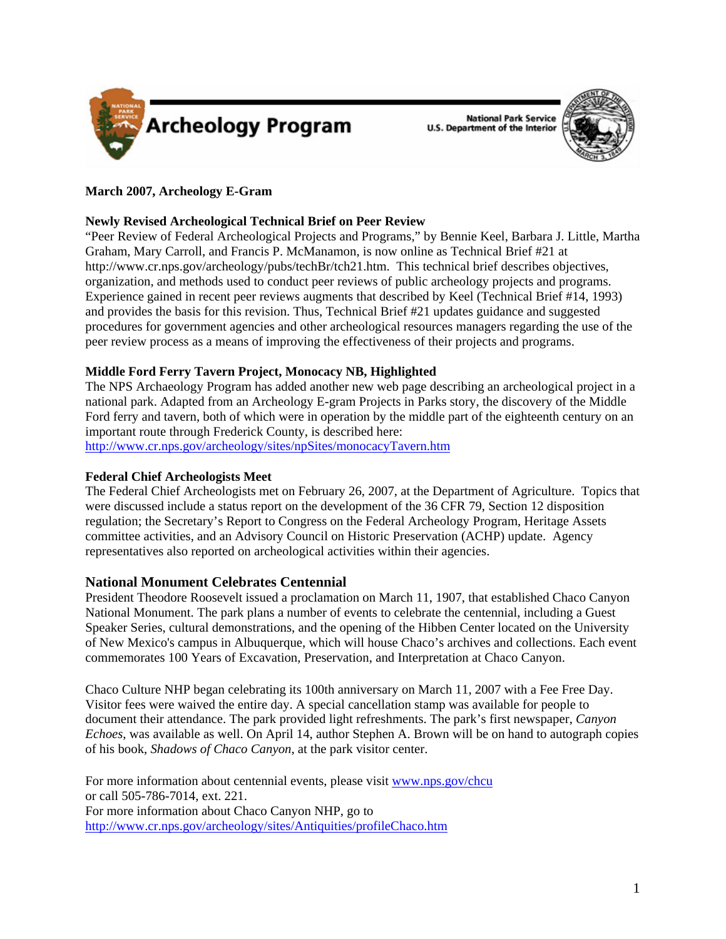

**National Park Service U.S. Department of the Interior** 



# **March 2007, Archeology E-Gram**

### **Newly Revised Archeological Technical Brief on Peer Review**

"Peer Review of Federal Archeological Projects and Programs," by Bennie Keel, Barbara J. Little, Martha Graham, Mary Carroll, and Francis P. McManamon, is now online as Technical Brief #21 at http://www.cr.nps.gov/archeology/pubs/techBr/tch21.htm. This technical brief describes objectives, organization, and methods used to conduct peer reviews of public archeology projects and programs. Experience gained in recent peer reviews augments that described by Keel (Technical Brief #14, 1993) and provides the basis for this revision. Thus, Technical Brief #21 updates guidance and suggested procedures for government agencies and other archeological resources managers regarding the use of the peer review process as a means of improving the effectiveness of their projects and programs.

# **Middle Ford Ferry Tavern Project, Monocacy NB, Highlighted**

The NPS Archaeology Program has added another new web page describing an archeological project in a national park. Adapted from an Archeology E-gram Projects in Parks story, the discovery of the Middle Ford ferry and tavern, both of which were in operation by the middle part of the eighteenth century on an important route through Frederick County, is described here:

<http://www.cr.nps.gov/archeology/sites/npSites/monocacyTavern.htm>

### **Federal Chief Archeologists Meet**

The Federal Chief Archeologists met on February 26, 2007, at the Department of Agriculture. Topics that were discussed include a status report on the development of the 36 CFR 79, Section 12 disposition regulation; the Secretary's Report to Congress on the Federal Archeology Program, Heritage Assets committee activities, and an Advisory Council on Historic Preservation (ACHP) update. Agency representatives also reported on archeological activities within their agencies.

### **National Monument Celebrates Centennial**

President Theodore Roosevelt issued a proclamation on March 11, 1907, that established Chaco Canyon National Monument. The park plans a number of events to celebrate the centennial, including a Guest Speaker Series, cultural demonstrations, and the opening of the Hibben Center located on the University of New Mexico's campus in Albuquerque, which will house Chaco's archives and collections. Each event commemorates 100 Years of Excavation, Preservation, and Interpretation at Chaco Canyon.

Chaco Culture NHP began celebrating its 100th anniversary on March 11, 2007 with a Fee Free Day. Visitor fees were waived the entire day. A special cancellation stamp was available for people to document their attendance. The park provided light refreshments. The park's first newspaper, *Canyon Echoes*, was available as well. On April 14, author Stephen A. Brown will be on hand to autograph copies of his book, *Shadows of Chaco Canyon*, at the park visitor center.

For more information about centennial events, please visit <www.nps.gov/chcu> or call 505-786-7014, ext. 221. For more information about Chaco Canyon NHP, go to <http://www.cr.nps.gov/archeology/sites/Antiquities/profileChaco.htm>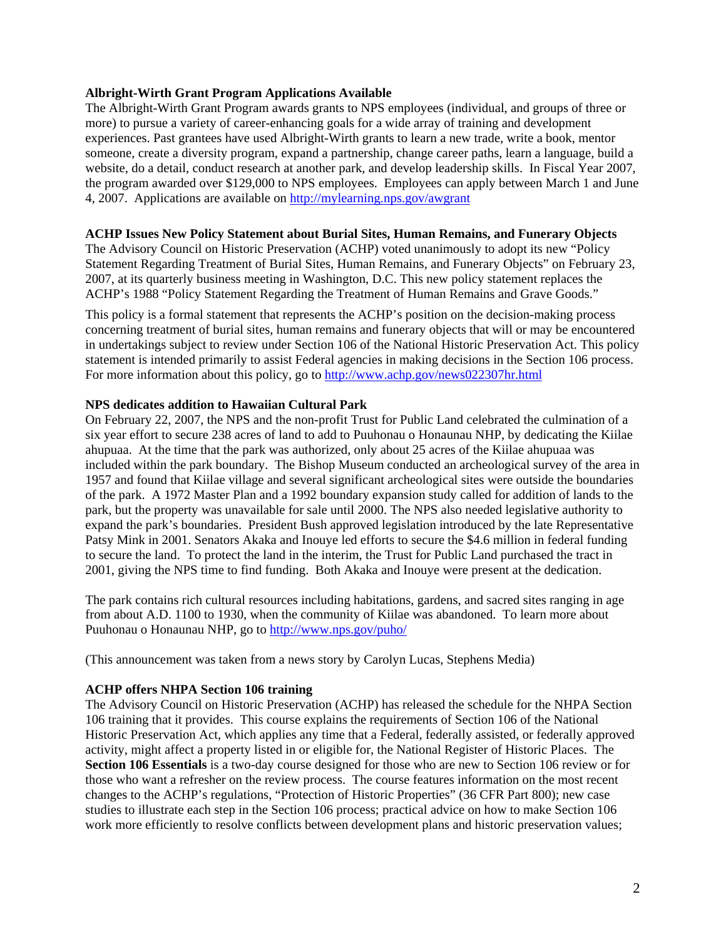### **Albright-Wirth Grant Program Applications Available**

The Albright-Wirth Grant Program awards grants to NPS employees (individual, and groups of three or more) to pursue a variety of career-enhancing goals for a wide array of training and development experiences. Past grantees have used Albright-Wirth grants to learn a new trade, write a book, mentor someone, create a diversity program, expand a partnership, change career paths, learn a language, build a website, do a detail, conduct research at another park, and develop leadership skills. In Fiscal Year 2007, the program awarded over \$129,000 to NPS employees. Employees can apply between March 1 and June 4, 2007. Applications are available on <http://mylearning.nps.gov/awgrant>

#### **ACHP Issues New Policy Statement about Burial Sites, Human Remains, and Funerary Objects**

The Advisory Council on Historic Preservation (ACHP) voted unanimously to adopt its new "Policy Statement Regarding Treatment of Burial Sites, Human Remains, and Funerary Objects" on February 23, 2007, at its quarterly business meeting in Washington, D.C. This new policy statement replaces the ACHP's 1988 "Policy Statement Regarding the Treatment of Human Remains and Grave Goods."

This policy is a formal statement that represents the ACHP's position on the decision-making process concerning treatment of burial sites, human remains and funerary objects that will or may be encountered in undertakings subject to review under Section 106 of the National Historic Preservation Act. This policy statement is intended primarily to assist Federal agencies in making decisions in the Section 106 process. For more information about this policy, go to<http://www.achp.gov/news022307hr.html>

# **NPS dedicates addition to Hawaiian Cultural Park**

On February 22, 2007, the NPS and the non-profit Trust for Public Land celebrated the culmination of a six year effort to secure 238 acres of land to add to Puuhonau o Honaunau NHP, by dedicating the Kiilae ahupuaa. At the time that the park was authorized, only about 25 acres of the Kiilae ahupuaa was included within the park boundary. The Bishop Museum conducted an archeological survey of the area in 1957 and found that Kiilae village and several significant archeological sites were outside the boundaries of the park. A 1972 Master Plan and a 1992 boundary expansion study called for addition of lands to the park, but the property was unavailable for sale until 2000. The NPS also needed legislative authority to expand the park's boundaries. President Bush approved legislation introduced by the late Representative Patsy Mink in 2001. Senators Akaka and Inouye led efforts to secure the \$4.6 million in federal funding to secure the land. To protect the land in the interim, the Trust for Public Land purchased the tract in 2001, giving the NPS time to find funding. Both Akaka and Inouye were present at the dedication.

The park contains rich cultural resources including habitations, gardens, and sacred sites ranging in age from about A.D. 1100 to 1930, when the community of Kiilae was abandoned. To learn more about Puuhonau o Honaunau NHP, go to <http://www.nps.gov/puho/>

(This announcement was taken from a news story by Carolyn Lucas, Stephens Media)

### **ACHP offers NHPA Section 106 training**

The Advisory Council on Historic Preservation (ACHP) has released the schedule for the NHPA Section 106 training that it provides. This course explains the requirements of Section 106 of the National Historic Preservation Act, which applies any time that a Federal, federally assisted, or federally approved activity, might affect a property listed in or eligible for, the National Register of Historic Places. The **Section 106 Essentials** is a two-day course designed for those who are new to Section 106 review or for those who want a refresher on the review process. The course features information on the most recent changes to the ACHP's regulations, "Protection of Historic Properties" (36 CFR Part 800); new case studies to illustrate each step in the Section 106 process; practical advice on how to make Section 106 work more efficiently to resolve conflicts between development plans and historic preservation values;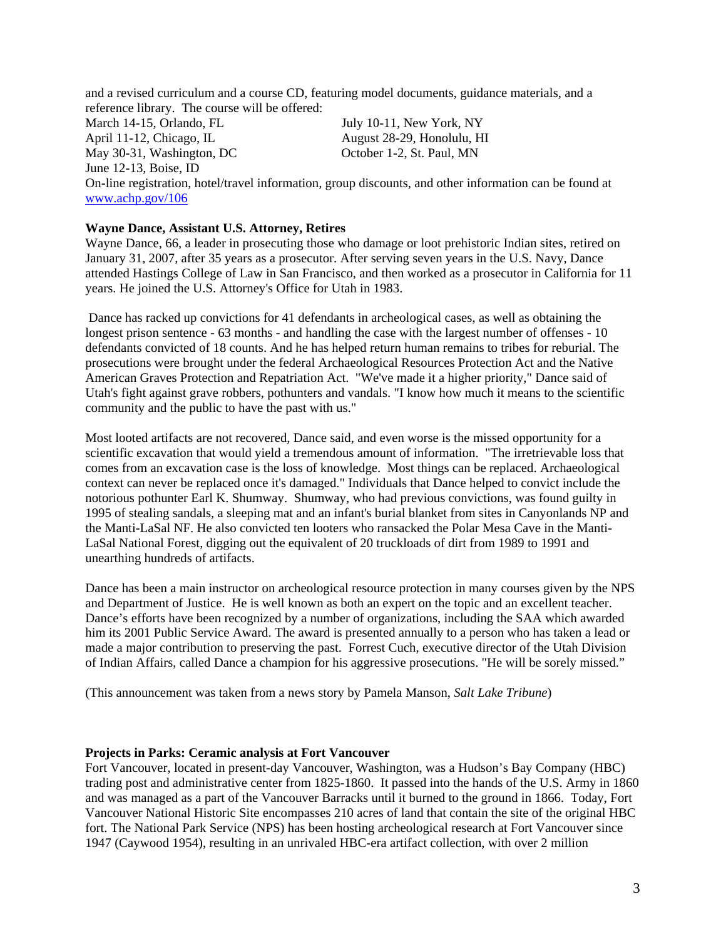and a revised curriculum and a course CD, featuring model documents, guidance materials, and a reference library. The course will be offered:

March 14-15, Orlando, FL July 10-11, New York, NY April 11-12, Chicago, IL August 28-29, Honolulu, HI May 30-31, Washington, DC October 1-2, St. Paul, MN June 12-13, Boise, ID

On-line registration, hotel/travel information, group discounts, and other information can be found at <www.achp.gov/106>

### **Wayne Dance, Assistant U.S. Attorney, Retires**

Wayne Dance, 66, a leader in prosecuting those who damage or loot prehistoric Indian sites, retired on January 31, 2007, after 35 years as a prosecutor. After serving seven years in the U.S. Navy, Dance attended Hastings College of Law in San Francisco, and then worked as a prosecutor in California for 11 years. He joined the U.S. Attorney's Office for Utah in 1983.

 Dance has racked up convictions for 41 defendants in archeological cases, as well as obtaining the longest prison sentence - 63 months - and handling the case with the largest number of offenses - 10 defendants convicted of 18 counts. And he has helped return human remains to tribes for reburial. The prosecutions were brought under the federal Archaeological Resources Protection Act and the Native American Graves Protection and Repatriation Act. "We've made it a higher priority," Dance said of Utah's fight against grave robbers, pothunters and vandals. "I know how much it means to the scientific community and the public to have the past with us."

Most looted artifacts are not recovered, Dance said, and even worse is the missed opportunity for a scientific excavation that would yield a tremendous amount of information. "The irretrievable loss that comes from an excavation case is the loss of knowledge. Most things can be replaced. Archaeological context can never be replaced once it's damaged." Individuals that Dance helped to convict include the notorious pothunter Earl K. Shumway. Shumway, who had previous convictions, was found guilty in 1995 of stealing sandals, a sleeping mat and an infant's burial blanket from sites in Canyonlands NP and the Manti-LaSal NF. He also convicted ten looters who ransacked the Polar Mesa Cave in the Manti-LaSal National Forest, digging out the equivalent of 20 truckloads of dirt from 1989 to 1991 and unearthing hundreds of artifacts.

Dance has been a main instructor on archeological resource protection in many courses given by the NPS and Department of Justice. He is well known as both an expert on the topic and an excellent teacher. Dance's efforts have been recognized by a number of organizations, including the SAA which awarded him its 2001 Public Service Award. The award is presented annually to a person who has taken a lead or made a major contribution to preserving the past. Forrest Cuch, executive director of the Utah Division of Indian Affairs, called Dance a champion for his aggressive prosecutions. "He will be sorely missed."

(This announcement was taken from a news story by Pamela Manson, *Salt Lake Tribune*)

#### **Projects in Parks: Ceramic analysis at Fort Vancouver**

Fort Vancouver, located in present-day Vancouver, Washington, was a Hudson's Bay Company (HBC) trading post and administrative center from 1825-1860. It passed into the hands of the U.S. Army in 1860 and was managed as a part of the Vancouver Barracks until it burned to the ground in 1866. Today, Fort Vancouver National Historic Site encompasses 210 acres of land that contain the site of the original HBC fort. The National Park Service (NPS) has been hosting archeological research at Fort Vancouver since 1947 (Caywood 1954), resulting in an unrivaled HBC-era artifact collection, with over 2 million